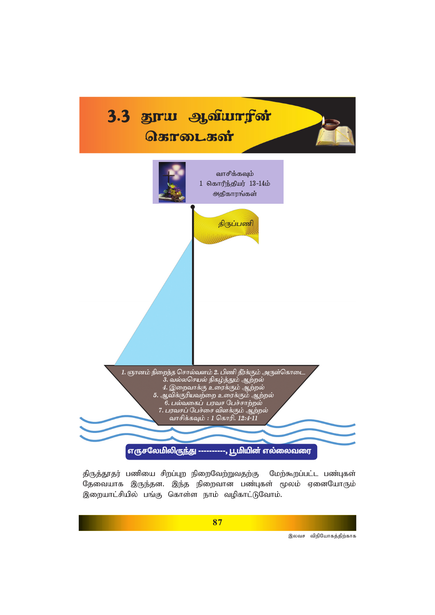

திருத்தூதர் பணியை சிறப்புற நிறைவேற்றுவதற்கு மேற்கூறப்பட்ட பண்புகள் தேவையாக இருந்தன. இந்த நிறைவான பண்புகள் மூலம் ஏனையோரும் இறையாட்சியில் பங்கு கொள்ள நாம் வழிகாட்டுவோம்.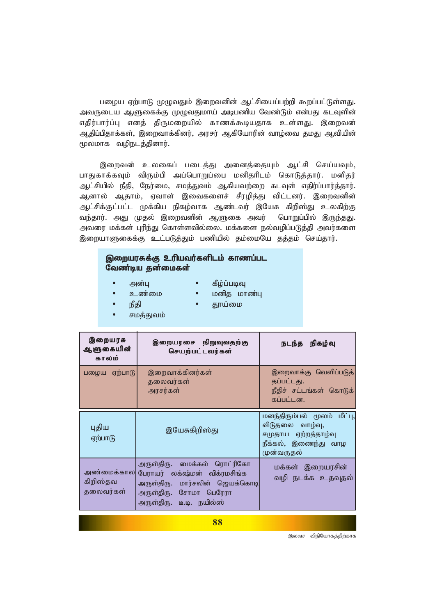பழைய ஏற்பாடு முழுவதும் இறைவனின் ஆட்சியைப்பற்றி கூறப்பட்டுள்ளது. அவருடைய ஆளுகைக்கு முழுவதுமாய் அடிபணிய வேண்டும் என்பது கடவுளின் எதிர்பார்ப்பு எனத் திருமறையில் காணக்கூடியதாக உள்ளது. இறைவன் ஆதிப்பிதாக்கள், இறைவாக்கினர், அரசர் ஆகியோரின் வாழ்வை தமது ஆவியின் மூலமாக வழிநடத்தினார்.

இறைவன் உலகைப் படைத்து அனைத்தையும் ஆட்சி செய்யவும், பாதுகாக்கவும் விரும்பி அப்பொறுப்பை மனிதரிடம் கொடுத்தார். மனிதர் ஆட்சியில் நீதி, நேர்மை, சமத்துவம் ஆகியவற்றை கடவுள் எதிர்ப்பார்த்தார். ஆனால் ஆதாம், ஏவாள் இவைகளைச் சீரழித்து விட்டனர். இறைவனின் ஆட்சிக்குட்பட்ட முக்கிய நிகழ்வாக ஆண்டவர் இயேசு கிறிஸ்து உலகிற்கு வந்தார். அது முதல் இறைவனின் ஆளுகை அவர் பொறுப்பில் இருந்தது. அவரை மக்கள் புரிந்து கொள்ளவில்லை. மக்களை நல்வழிப்படுத்தி அவர்களை இறையாளுகைக்கு உட்படுத்தும் பணியில் தம்மையே தத்தம் செய்தார்.

## இறையரசுக்கு உரியவர்களிடம் காணப்பட வேண்டிய தன்மைகள்

- அன்பு
- கீழ்ப்படிவு
- உண்மை
- மனித மாண்பு
- நீகி
- தூய்மை
- சமத்துவம்

| இறையரசு<br>ஆளுகையின்<br>காலம்        | இறையரசை நிறுவுவதற்கு<br>செயற்பட்டவர்கள்                                                                                                              | நடந்த நிகழ்வு                                                                                               |
|--------------------------------------|------------------------------------------------------------------------------------------------------------------------------------------------------|-------------------------------------------------------------------------------------------------------------|
| பழைய ஏற்பாடு                         | இறைவாக்கினர்கள்<br>தலைவர்கள்<br>அரசர்கள்                                                                                                             | இறைவாக்கு வெளிப்படுத்<br>தப்பட்டது.<br>நீதிச் சட்டங்கள் கொடுக்<br>கப்பட்டன.                                 |
| புதிய<br>ஏற்பாடு                     | இயேசுகிறிஸ்து                                                                                                                                        | மனந்திரும்பல் மூலம் மீட்பு,<br>விடுதலை வாழ்வு,<br>சமுதாய ஏற்றத்தாழ்வு<br>நீக்கல், இணைந்து வாழ<br>முன்வருதல் |
| அண்மைக்கால <br>கிறிஸ்தவ<br>தலைவர்கள் | அருள்திரு. மைக்கல் ரொட்ரிகோ<br>பேராயர் லக்ஷ்மன் விக்ரமசிங்க<br>அருள்திரு. மார்சலின் ஜெயக்கொடி<br>அருள்திரு. சோமா பெரேரா<br>அருள்திரு. டீ.டி. நயில்ஸ் | மக்கள் இறையரசின்<br>வழி நடக்க உதவுதல்                                                                       |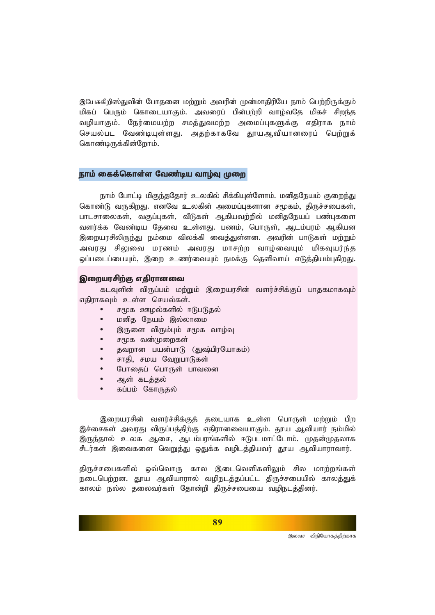இயேசுகிறிஸ்துவின் போதனை மற்றும் அவரின் முன்மாதிரியே நாம் பெற்றிருக்கும் மிகப் பெரும் கொடையாகும். அவரைப் பின்பற்றி வாழ்வதே மிகச் சிறந்த வழியாகும். நேர்மையற்ற சமத்துவமற்ற அமைப்புகளுக்கு எதிராக நாம் செயல்பட வேண்டியுள்ளது. அதற்காகவே தூயஆவியானரைப் பெற்றுக் கொண்டிருக்கின்றோம்.

#### நாம் கைக்கொள்ள வேண்டிய வாம்வ முறை

நாம் போட்டி மிகுந்ததோர் உலகில் சிக்கியுள்ளோம். மனிதநேயம் குறைந்து கொண்டு வருகிறது. எனவே உலகின் அமைப்புகளான சமூகம், திருச்சபைகள், பாடசாலைகள், வகுப்புகள், வீடுகள் ஆகியவற்றில் மனிதநேயப் பண்புகளை வளர்க்க வேண்டிய தேவை உள்ளது. பணம், பொருள், ஆடம்பரம் ஆகியன இறையரசிலிருந்து நம்மை விலக்கி வைத்துள்ளன. அவரின் பாடுகள் மற்றும் அவரது சிலுவை மரணம் அவரது மாசற்ற வாழ்வையும் மிகவுயர்ந்த ஒப்படைப்பையும், இறை உணர்வையும் நமக்கு தெளிவாய் எடுத்தியம்புகிறது.

#### இறையரசிற்கு எதிரானவை

கடவுளின் விருப்பம் மற்றும் இறையரசின் வளர்ச்சிக்குப் பாதகமாகவும் எதிராகவும் உள்ள செயல்கள்.

- சமூக ஊழல்களில் ஈடுபடுதல்
- மனிக நேயம் இல்லாமை
- இருளை விரும்பும் சமூக வாழ்வு
- சமூக வன்முறைகள்
- தவறான பயன்பாடு (துஷ்பிரயோகம்)
- சாதி, சமய வேறுபாடுகள்
- போதைப் பொருள் பாவனை
- ஆள் கடத்தல்
- கப்பம் கோருதல்

இறையரசின் வளர்ச்சிக்குத் தடையாக உள்ள பொருள் மற்றும் பிற இச்சைகள் அவரது விருப்பத்திற்கு எதிரானவையாகும். தூய ஆவியார் நம்மில் இருந்தால் உலக ஆசை, ஆடம்பரங்களில் ஈடுபடமாட்டோம். முதன்முதலாக சீடர்கள் இவைகளை வெறுத்து ஒதுக்க வழிடத்தியவர் தூய ஆவியாராவார்.

கிருச்சபைகளில் ஒவ்வொரு கால இடைவெளிகளிலும் சில மாற்றங்கள் நடைபெற்றன. தூய ஆவியாரால் வழிநடத்தப்பட்ட திருச்சபையில் காலத்துக் காலம் நல்ல தலைவர்கள் தோன்றி திருச்சபையை வழிநடத்தினர்.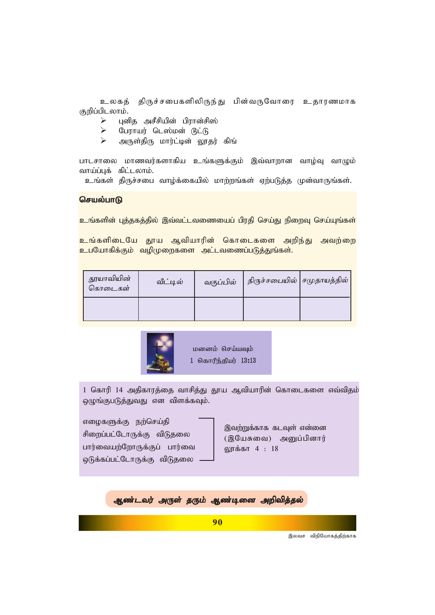உலகத் திருச்சபைகளிலிருந்து பின்வருவோரை உதாரணமாக குறிப்பிடலாம்.

- Ø *Gdpj mrPrpapd; gpuhd;rp];*
- $\triangleright$   $\complement$ பராயர் டெஸ்மன் டூட்டு
- Ø *mUs;jpU khu;l;bd; Y}ju; fpq;*

பாடசாலை மாணவர்களாகிய உங்களுக்கும் இவ்வாறான வாழ்வு வாழும் வாய்ப்புக் கிட்டலாம்.

உங்கள் திருச்சபை வாழ்க்கையில் மாற்றங்கள் ஏற்படுத்த முன்வாருங்கள்.

### செயல்பாடு

<mark>உங்களின் புத்தகத்தில் இவ்வட்டவணையைப் பிரதி செய்து நிறைவு செய்யுங்கள்</mark>

<mark>உங்களிடையே தூய ஆவியாரின் கொடைகளை அறிந்து அவற்றை</mark> **உபயோகிக்கும் வழிமுறைகளை அட்டவணைப்படுத்துங்கள்.** 

| தூயாவியின்<br>கொடைகள் | வீட்டில் | வகுப்பில் | திருச்சபையில்   சமுதாயத்தில் |  |
|-----------------------|----------|-----------|------------------------------|--|
|                       |          |           |                              |  |



மனனம் செய்யவும் 1 கொரிந்தியர் 13:13

1 கொரி 14 அதிகாரத்தை வாசித்து தூய ஆவியாரின் கொடைகளை எவ்விதம் ஒழுங்குபடுத்துவது என விளக்கவும்.

எழைகளுக்கு நற்செய்தி சிறைப்பட்டோருக்கு விடுதலை பார்வையற்றோருக்குப் பார்வை ஒடுக்கப்பட்டோருக்கு விடுதலை

இவற்றுக்காக கடவுள் என்னை *(இயேசுவை)* அனுப்பினார் லாக்கா 4 : 18

ஆண்டவர் அருள் தரும் ஆண்டினை அறிவித்தல்

**90**